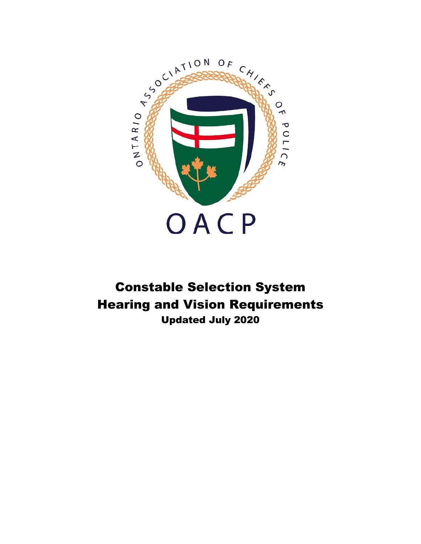

# Constable Selection System Hearing and Vision Requirements Updated July 2020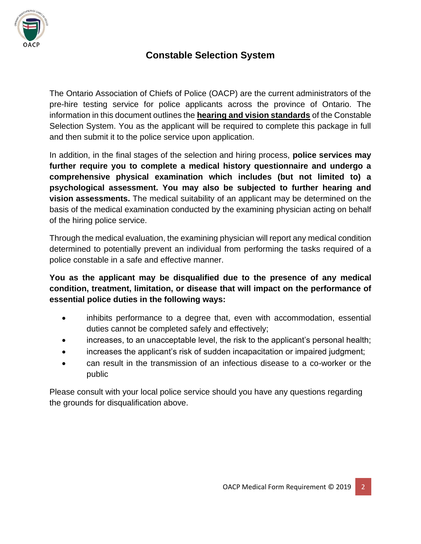

## **Constable Selection System**

The Ontario Association of Chiefs of Police (OACP) are the current administrators of the pre-hire testing service for police applicants across the province of Ontario. The information in this document outlines the **hearing and vision standards** of the Constable Selection System. You as the applicant will be required to complete this package in full and then submit it to the police service upon application.

In addition, in the final stages of the selection and hiring process, **police services may further require you to complete a medical history questionnaire and undergo a comprehensive physical examination which includes (but not limited to) a psychological assessment. You may also be subjected to further hearing and vision assessments.** The medical suitability of an applicant may be determined on the basis of the medical examination conducted by the examining physician acting on behalf of the hiring police service.

Through the medical evaluation, the examining physician will report any medical condition determined to potentially prevent an individual from performing the tasks required of a police constable in a safe and effective manner.

#### **You as the applicant may be disqualified due to the presence of any medical condition, treatment, limitation, or disease that will impact on the performance of essential police duties in the following ways:**

- inhibits performance to a degree that, even with accommodation, essential duties cannot be completed safely and effectively;
- increases, to an unacceptable level, the risk to the applicant's personal health;
- increases the applicant's risk of sudden incapacitation or impaired judgment;
- can result in the transmission of an infectious disease to a co-worker or the public

Please consult with your local police service should you have any questions regarding the grounds for disqualification above.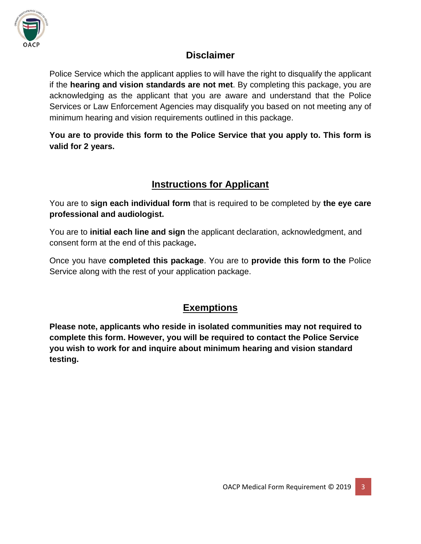

## **Disclaimer**

Police Service which the applicant applies to will have the right to disqualify the applicant if the **hearing and vision standards are not met**. By completing this package, you are acknowledging as the applicant that you are aware and understand that the Police Services or Law Enforcement Agencies may disqualify you based on not meeting any of minimum hearing and vision requirements outlined in this package.

**You are to provide this form to the Police Service that you apply to. This form is valid for 2 years.**

## **Instructions for Applicant**

You are to **sign each individual form** that is required to be completed by **the eye care professional and audiologist.** 

You are to **initial each line and sign** the applicant declaration, acknowledgment, and consent form at the end of this package**.** 

Once you have **completed this package**. You are to **provide this form to the** Police Service along with the rest of your application package.

## **Exemptions**

**Please note, applicants who reside in isolated communities may not required to complete this form. However, you will be required to contact the Police Service you wish to work for and inquire about minimum hearing and vision standard testing.**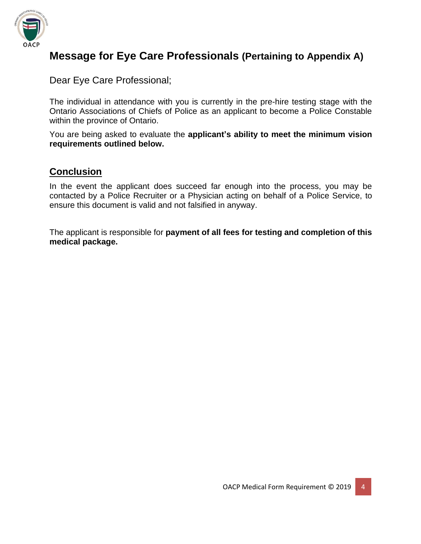

# **Message for Eye Care Professionals (Pertaining to Appendix A)**

Dear Eye Care Professional;

The individual in attendance with you is currently in the pre-hire testing stage with the Ontario Associations of Chiefs of Police as an applicant to become a Police Constable within the province of Ontario.

You are being asked to evaluate the **applicant's ability to meet the minimum vision requirements outlined below.**

## **Conclusion**

In the event the applicant does succeed far enough into the process, you may be contacted by a Police Recruiter or a Physician acting on behalf of a Police Service, to ensure this document is valid and not falsified in anyway.

The applicant is responsible for **payment of all fees for testing and completion of this medical package.**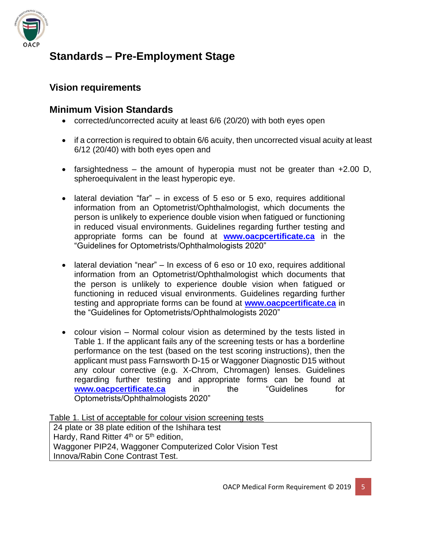

# **Standards – Pre-Employment Stage**

## **Vision requirements**

#### **Minimum Vision Standards**

- corrected/uncorrected acuity at least 6/6 (20/20) with both eyes open
- if a correction is required to obtain 6/6 acuity, then uncorrected visual acuity at least 6/12 (20/40) with both eyes open and
- farsightedness the amount of hyperopia must not be greater than  $+2.00$  D, spheroequivalent in the least hyperopic eye.
- lateral deviation "far" in excess of 5 eso or 5 exo, requires additional information from an Optometrist/Ophthalmologist, which documents the person is unlikely to experience double vision when fatigued or functioning in reduced visual environments. Guidelines regarding further testing and appropriate forms can be found at **[www.oacpcertificate.ca](http://www.oacpcertificate.ca/)** in the "Guidelines for Optometrists/Ophthalmologists 2020"
- lateral deviation "near" In excess of 6 eso or 10 exo, requires additional information from an Optometrist/Ophthalmologist which documents that the person is unlikely to experience double vision when fatigued or functioning in reduced visual environments. Guidelines regarding further testing and appropriate forms can be found at **[www.oacpcertificate.ca](http://www.oacpcertificate.ca/)** in the "Guidelines for Optometrists/Ophthalmologists 2020"
- colour vision Normal colour vision as determined by the tests listed in Table 1. If the applicant fails any of the screening tests or has a borderline performance on the test (based on the test scoring instructions), then the applicant must pass Farnsworth D-15 or Waggoner Diagnostic D15 without any colour corrective (e.g. X-Chrom, Chromagen) lenses. Guidelines regarding further testing and appropriate forms can be found at **[www.oacpcertificate.ca](http://www.oacpcertificate.ca/)** in the "Guidelines for Optometrists/Ophthalmologists 2020"

Table 1. List of acceptable for colour vision screening tests

24 plate or 38 plate edition of the Ishihara test Hardy, Rand Ritter 4<sup>th</sup> or 5<sup>th</sup> edition, Waggoner PIP24, Waggoner Computerized Color Vision Test Innova/Rabin Cone Contrast Test.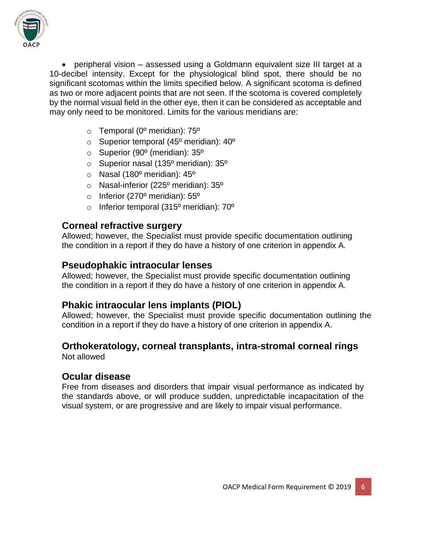

• peripheral vision – assessed using a Goldmann equivalent size III target at a 10-decibel intensity. Except for the physiological blind spot, there should be no significant scotomas within the limits specified below. A significant scotoma is defined as two or more adjacent points that are not seen. If the scotoma is covered completely by the normal visual field in the other eye, then it can be considered as acceptable and may only need to be monitored. Limits for the various meridians are:

- $\circ$  Temporal (0<sup>o</sup> meridian): 75<sup>o</sup>
- $\circ$  Superior temporal (45<sup>o</sup> meridian): 40<sup>o</sup>
- o Superior (90º (meridian): 35º
- o Superior nasal (135º meridian): 35º
- o Nasal (180º meridian): 45º
- o Nasal-inferior (225º meridian): 35º
- $\circ$  Inferior (270 $\circ$  meridian): 55 $\circ$
- $\circ$  Inferior temporal (315<sup>o</sup> meridian): 70<sup>o</sup>

#### **Corneal refractive surgery**

Allowed; however, the Specialist must provide specific documentation outlining the condition in a report if they do have a history of one criterion in appendix A.

#### **Pseudophakic intraocular lenses**

Allowed; however, the Specialist must provide specific documentation outlining the condition in a report if they do have a history of one criterion in appendix A.

### **Phakic intraocular lens implants (PIOL)**

Allowed; however, the Specialist must provide specific documentation outlining the condition in a report if they do have a history of one criterion in appendix A.

### **Orthokeratology, corneal transplants, intra-stromal corneal rings**

Not allowed

#### **Ocular disease**

Free from diseases and disorders that impair visual performance as indicated by the standards above, or will produce sudden, unpredictable incapacitation of the visual system, or are progressive and are likely to impair visual performance.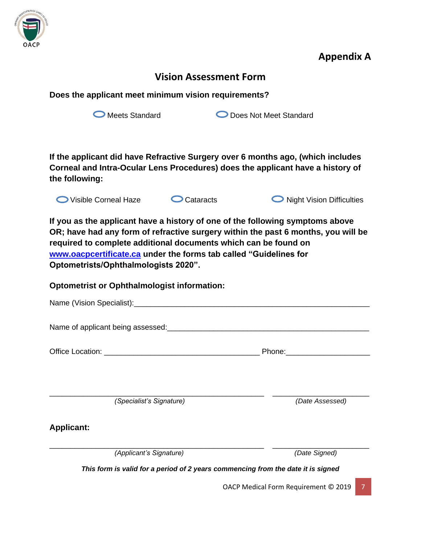

**Appendix A**

## **Vision Assessment Form**

**Does the applicant meet minimum vision requirements?** 

O Meets Standard **Does Not Meet Standard** 

**If the applicant did have Refractive Surgery over 6 months ago, (which includes Corneal and Intra-Ocular Lens Procedures) does the applicant have a history of the following:**



**If you as the applicant have a history of one of the following symptoms above OR; have had any form of refractive surgery within the past 6 months, you will be required to complete additional documents which can be found on [www.oacpcertificate.ca](http://www.oacpcertificate.ca/) under the forms tab called "Guidelines for Optometrists/Ophthalmologists 2020".**

#### **Optometrist or Ophthalmologist information:**

|                                           | Phone:_____________                                                              |
|-------------------------------------------|----------------------------------------------------------------------------------|
|                                           |                                                                                  |
|                                           |                                                                                  |
|                                           |                                                                                  |
| (Specialist's Signature)                  | (Date Assessed)                                                                  |
| <b>Applicant:</b>                         |                                                                                  |
|                                           |                                                                                  |
| (Applicant's Signature)                   | (Date Signed)                                                                    |
|                                           | This form is valid for a period of 2 years commencing from the date it is signed |
| 7<br>OACP Medical Form Requirement © 2019 |                                                                                  |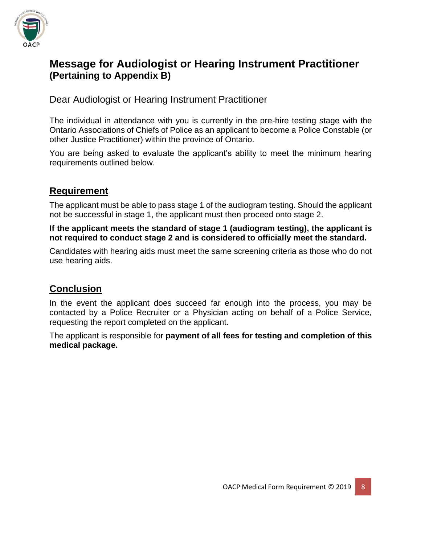

## **Message for Audiologist or Hearing Instrument Practitioner (Pertaining to Appendix B)**

Dear Audiologist or Hearing Instrument Practitioner

The individual in attendance with you is currently in the pre-hire testing stage with the Ontario Associations of Chiefs of Police as an applicant to become a Police Constable (or other Justice Practitioner) within the province of Ontario.

You are being asked to evaluate the applicant's ability to meet the minimum hearing requirements outlined below.

## **Requirement**

The applicant must be able to pass stage 1 of the audiogram testing. Should the applicant not be successful in stage 1, the applicant must then proceed onto stage 2.

**If the applicant meets the standard of stage 1 (audiogram testing), the applicant is not required to conduct stage 2 and is considered to officially meet the standard.**

Candidates with hearing aids must meet the same screening criteria as those who do not use hearing aids.

## **Conclusion**

In the event the applicant does succeed far enough into the process, you may be contacted by a Police Recruiter or a Physician acting on behalf of a Police Service, requesting the report completed on the applicant.

The applicant is responsible for **payment of all fees for testing and completion of this medical package.**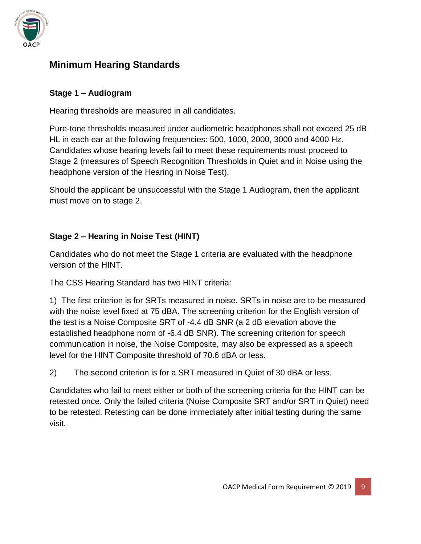

## **Minimum Hearing Standards**

#### **Stage 1 – Audiogram**

Hearing thresholds are measured in all candidates.

Pure-tone thresholds measured under audiometric headphones shall not exceed 25 dB HL in each ear at the following frequencies: 500, 1000, 2000, 3000 and 4000 Hz. Candidates whose hearing levels fail to meet these requirements must proceed to Stage 2 (measures of Speech Recognition Thresholds in Quiet and in Noise using the headphone version of the Hearing in Noise Test).

Should the applicant be unsuccessful with the Stage 1 Audiogram, then the applicant must move on to stage 2.

#### **Stage 2 – Hearing in Noise Test (HINT)**

Candidates who do not meet the Stage 1 criteria are evaluated with the headphone version of the HINT.

The CSS Hearing Standard has two HINT criteria:

1) The first criterion is for SRTs measured in noise. SRTs in noise are to be measured with the noise level fixed at 75 dBA. The screening criterion for the English version of the test is a Noise Composite SRT of -4.4 dB SNR (a 2 dB elevation above the established headphone norm of -6.4 dB SNR). The screening criterion for speech communication in noise, the Noise Composite, may also be expressed as a speech level for the HINT Composite threshold of 70.6 dBA or less.

2) The second criterion is for a SRT measured in Quiet of 30 dBA or less.

Candidates who fail to meet either or both of the screening criteria for the HINT can be retested once. Only the failed criteria (Noise Composite SRT and/or SRT in Quiet) need to be retested. Retesting can be done immediately after initial testing during the same visit.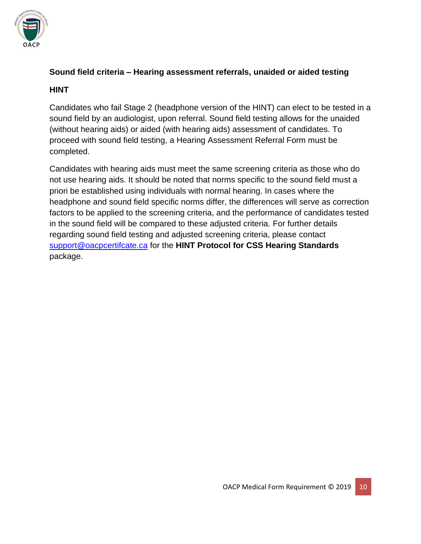

## **Sound field criteria – Hearing assessment referrals, unaided or aided testing**

#### **HINT**

Candidates who fail Stage 2 (headphone version of the HINT) can elect to be tested in a sound field by an audiologist, upon referral. Sound field testing allows for the unaided (without hearing aids) or aided (with hearing aids) assessment of candidates. To proceed with sound field testing, a Hearing Assessment Referral Form must be completed.

Candidates with hearing aids must meet the same screening criteria as those who do not use hearing aids. It should be noted that norms specific to the sound field must a priori be established using individuals with normal hearing. In cases where the headphone and sound field specific norms differ, the differences will serve as correction factors to be applied to the screening criteria, and the performance of candidates tested in the sound field will be compared to these adjusted criteria. For further details regarding sound field testing and adjusted screening criteria, please contact [support@oacpcertifcate.ca](mailto:support@oacpcertifcate.ca) for the **HINT Protocol for CSS Hearing Standards** package.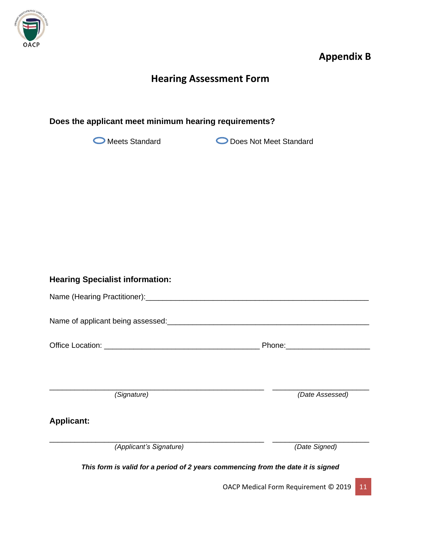

# **Appendix B**

# **Hearing Assessment Form**

#### **Does the applicant meet minimum hearing requirements?**

O Meets Standard **Does Not Meet Standard** 

| <b>Hearing Specialist information:</b>                                           |                 |
|----------------------------------------------------------------------------------|-----------------|
|                                                                                  |                 |
|                                                                                  |                 |
|                                                                                  |                 |
|                                                                                  |                 |
| (Signature)                                                                      | (Date Assessed) |
|                                                                                  |                 |
| <b>Applicant:</b>                                                                |                 |
| (Applicant's Signature)                                                          | (Date Signed)   |
| This form is valid for a period of 2 years commencing from the date it is signed |                 |

OACP Medical Form Requirement © 2019 11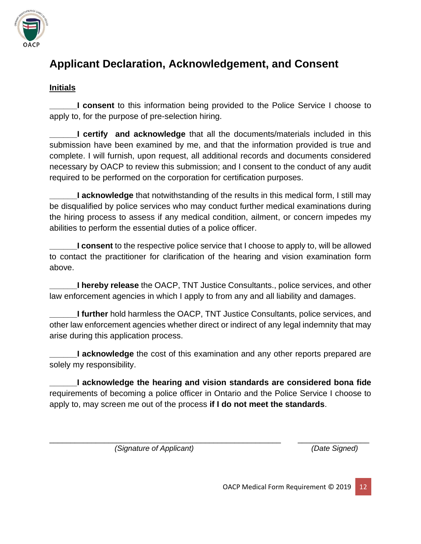

# **Applicant Declaration, Acknowledgement, and Consent**

#### **Initials**

**\_\_\_\_\_\_I consent** to this information being provided to the Police Service I choose to apply to, for the purpose of pre-selection hiring.

**\_\_\_\_\_\_I certify and acknowledge** that all the documents/materials included in this submission have been examined by me, and that the information provided is true and complete. I will furnish, upon request, all additional records and documents considered necessary by OACP to review this submission; and I consent to the conduct of any audit required to be performed on the corporation for certification purposes.

**L** acknowledge that notwithstanding of the results in this medical form, I still may be disqualified by police services who may conduct further medical examinations during the hiring process to assess if any medical condition, ailment, or concern impedes my abilities to perform the essential duties of a police officer.

**Let is consent** to the respective police service that I choose to apply to, will be allowed to contact the practitioner for clarification of the hearing and vision examination form above.

**\_\_\_\_\_\_I hereby release** the OACP, TNT Justice Consultants., police services, and other law enforcement agencies in which I apply to from any and all liability and damages.

**I further** hold harmless the OACP, TNT Justice Consultants, police services, and other law enforcement agencies whether direct or indirect of any legal indemnity that may arise during this application process.

**\_\_\_\_\_\_I acknowledge** the cost of this examination and any other reports prepared are solely my responsibility.

**\_\_\_\_\_\_I acknowledge the hearing and vision standards are considered bona fide** requirements of becoming a police officer in Ontario and the Police Service I choose to apply to, may screen me out of the process **if I do not meet the standards**.

\_\_\_\_\_\_\_\_\_\_\_\_\_\_\_\_\_\_\_\_\_\_\_\_\_\_\_\_\_\_\_\_\_\_\_\_\_\_\_\_\_\_\_\_\_\_\_\_\_\_\_\_\_\_\_ \_\_\_\_\_\_\_\_\_\_\_\_\_\_\_\_\_  *(Signature of Applicant) (Date Signed)*

OACP Medical Form Requirement © 2019 12